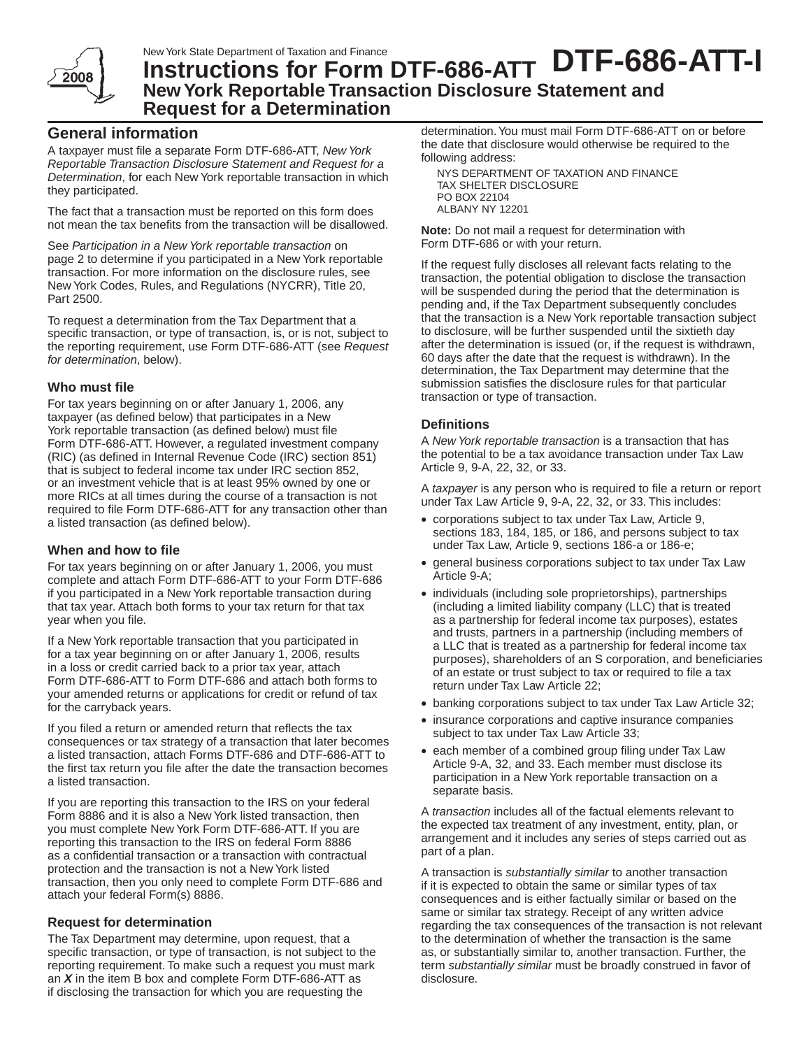

# New York State Department of Taxation and Finance<br>Instructions for Form DTF-686-ATT DTF-686-ATH **New York Reportable Transaction Disclosure Statement and Request for a Determination**

# **General information**

A taxpayer must file a separate Form DTF-686-ATT, *New York Reportable Transaction Disclosure Statement and Request for a Determination*, for each New York reportable transaction in which they participated.

The fact that a transaction must be reported on this form does not mean the tax benefits from the transaction will be disallowed.

See *Participation in a New York reportable transaction* on page 2 to determine if you participated in a New York reportable transaction. For more information on the disclosure rules, see New York Codes, Rules, and Regulations (NYCRR), Title 20, Part 2500.

To request a determination from the Tax Department that a specific transaction, or type of transaction, is, or is not, subject to the reporting requirement, use Form DTF-686-ATT (see *Request for determination*, below).

## **Who must file**

For tax years beginning on or after January 1, 2006, any taxpayer (as defined below) that participates in a New York reportable transaction (as defined below) must file Form DTF-686-ATT. However, a regulated investment company (RIC) (as defined in Internal Revenue Code (IRC) section 851) that is subject to federal income tax under IRC section 852, or an investment vehicle that is at least 95% owned by one or more RICs at all times during the course of a transaction is not required to file Form DTF-686-ATT for any transaction other than a listed transaction (as defined below).

# **When and how to file**

For tax years beginning on or after January 1, 2006, you must complete and attach Form DTF-686-ATT to your Form DTF-686 if you participated in a New York reportable transaction during that tax year. Attach both forms to your tax return for that tax year when you file.

If a New York reportable transaction that you participated in for a tax year beginning on or after January 1, 2006, results in a loss or credit carried back to a prior tax year, attach Form DTF-686-ATT to Form DTF-686 and attach both forms to your amended returns or applications for credit or refund of tax for the carryback years.

If you filed a return or amended return that reflects the tax consequences or tax strategy of a transaction that later becomes a listed transaction, attach Forms DTF-686 and DTF-686-ATT to the first tax return you file after the date the transaction becomes a listed transaction.

If you are reporting this transaction to the IRS on your federal Form 8886 and it is also a New York listed transaction, then you must complete New York Form DTF-686-ATT. If you are reporting this transaction to the IRS on federal Form 8886 as a confidential transaction or a transaction with contractual protection and the transaction is not a New York listed transaction, then you only need to complete Form DTF-686 and attach your federal Form(s) 8886.

# **Request for determination**

The Tax Department may determine, upon request, that a specific transaction, or type of transaction, is not subject to the reporting requirement. To make such a request you must mark an *X* in the item B box and complete Form DTF-686-ATT as if disclosing the transaction for which you are requesting the

determination. You must mail Form DTF-686-ATT on or before the date that disclosure would otherwise be required to the following address:

NYS DEPARTMENT OF TAXATION AND FINANCE TAX SHELTER DISCLOSURE PO BOX 22104 ALBANY NY 12201

**Note:** Do not mail a request for determination with Form DTF-686 or with your return.

If the request fully discloses all relevant facts relating to the transaction, the potential obligation to disclose the transaction will be suspended during the period that the determination is pending and, if the Tax Department subsequently concludes that the transaction is a New York reportable transaction subject to disclosure, will be further suspended until the sixtieth day after the determination is issued (or, if the request is withdrawn, 60 days after the date that the request is withdrawn). In the determination, the Tax Department may determine that the submission satisfies the disclosure rules for that particular transaction or type of transaction.

## **Definitions**

A *New York reportable transaction* is a transaction that has the potential to be a tax avoidance transaction under Tax Law Article 9, 9-A, 22, 32, or 33.

A *taxpayer* is any person who is required to file a return or report under Tax Law Article 9, 9-A, 22, 32, or 33. This includes:

- • corporations subject to tax under Tax Law, Article 9, sections 183, 184, 185, or 186, and persons subject to tax under Tax Law, Article 9, sections 186-a or 186-e;
- general business corporations subject to tax under Tax Law Article 9-A;
- individuals (including sole proprietorships), partnerships (including a limited liability company (LLC) that is treated as a partnership for federal income tax purposes), estates and trusts, partners in a partnership (including members of a LLC that is treated as a partnership for federal income tax purposes), shareholders of an S corporation, and beneficiaries of an estate or trust subject to tax or required to file a tax return under Tax Law Article 22;
- banking corporations subject to tax under Tax Law Article 32;
- insurance corporations and captive insurance companies subject to tax under Tax Law Article 33;
- each member of a combined group filing under Tax Law Article 9-A, 32, and 33. Each member must disclose its participation in a New York reportable transaction on a separate basis.

A *transaction* includes all of the factual elements relevant to the expected tax treatment of any investment, entity, plan, or arrangement and it includes any series of steps carried out as part of a plan.

A transaction is *substantially similar* to another transaction if it is expected to obtain the same or similar types of tax consequences and is either factually similar or based on the same or similar tax strategy. Receipt of any written advice regarding the tax consequences of the transaction is not relevant to the determination of whether the transaction is the same as, or substantially similar to, another transaction. Further, the term *substantially similar* must be broadly construed in favor of disclosure.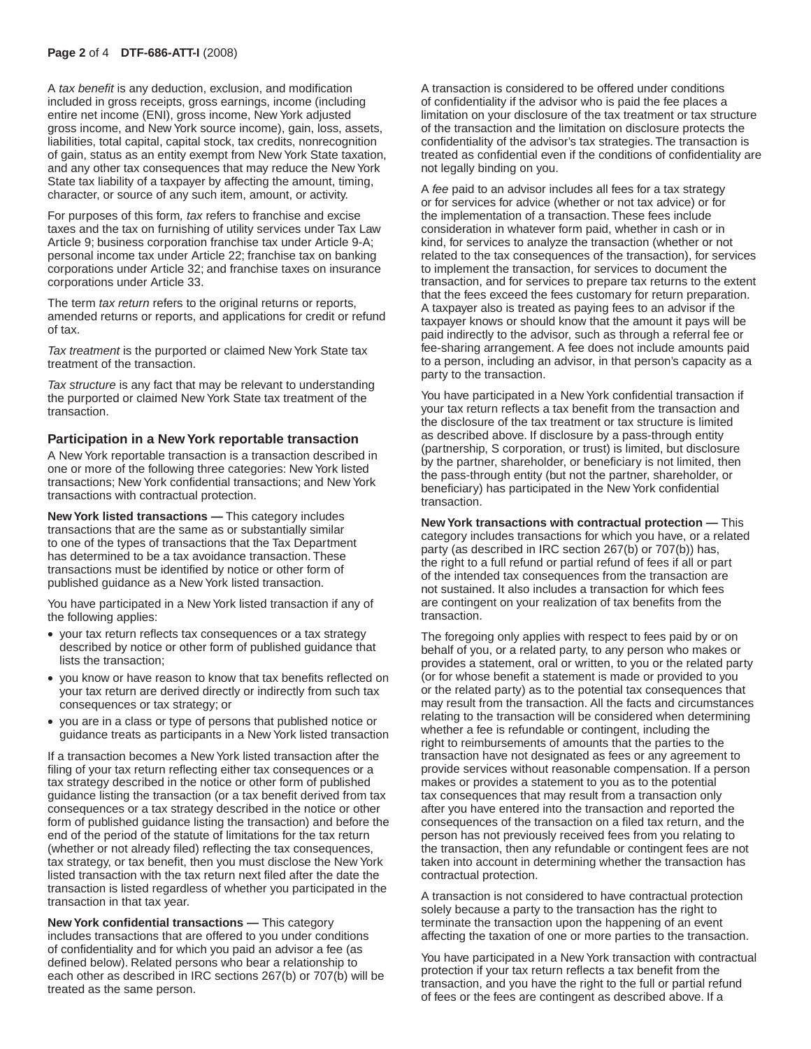#### **Page 2** of 4 **DTF-686-ATT-I** (2008)

A *tax benefit* is any deduction, exclusion, and modification included in gross receipts, gross earnings, income (including entire net income (ENI), gross income, New York adjusted gross income, and New York source income), gain, loss, assets, liabilities, total capital, capital stock, tax credits, nonrecognition of gain, status as an entity exempt from New York State taxation, and any other tax consequences that may reduce the New York State tax liability of a taxpayer by affecting the amount, timing, character, or source of any such item, amount, or activity.

For purposes of this form*, tax* refers to franchise and excise taxes and the tax on furnishing of utility services under Tax Law Article 9; business corporation franchise tax under Article 9-A; personal income tax under Article 22; franchise tax on banking corporations under Article 32; and franchise taxes on insurance corporations under Article 33.

The term *tax return* refers to the original returns or reports, amended returns or reports, and applications for credit or refund of tax.

*Tax treatment* is the purported or claimed New York State tax treatment of the transaction.

*Tax structure* is any fact that may be relevant to understanding the purported or claimed New York State tax treatment of the transaction.

#### **Participation in a New York reportable transaction**

A New York reportable transaction is a transaction described in one or more of the following three categories: New York listed transactions; New York confidential transactions; and New York transactions with contractual protection.

**New York listed transactions —** This category includes transactions that are the same as or substantially similar to one of the types of transactions that the Tax Department has determined to be a tax avoidance transaction. These transactions must be identified by notice or other form of published guidance as a New York listed transaction.

You have participated in a New York listed transaction if any of the following applies:

- • your tax return reflects tax consequences or a tax strategy described by notice or other form of published guidance that lists the transaction;
- you know or have reason to know that tax benefits reflected on your tax return are derived directly or indirectly from such tax consequences or tax strategy; or
- • you are in a class or type of persons that published notice or guidance treats as participants in a New York listed transaction

If a transaction becomes a New York listed transaction after the filing of your tax return reflecting either tax consequences or a tax strategy described in the notice or other form of published guidance listing the transaction (or a tax benefit derived from tax consequences or a tax strategy described in the notice or other form of published guidance listing the transaction) and before the end of the period of the statute of limitations for the tax return (whether or not already filed) reflecting the tax consequences, tax strategy, or tax benefit, then you must disclose the New York listed transaction with the tax return next filed after the date the transaction is listed regardless of whether you participated in the transaction in that tax year.

**New York confidential transactions —** This category includes transactions that are offered to you under conditions of confidentiality and for which you paid an advisor a fee (as defined below). Related persons who bear a relationship to each other as described in IRC sections 267(b) or 707(b) will be treated as the same person.

A transaction is considered to be offered under conditions of confidentiality if the advisor who is paid the fee places a limitation on your disclosure of the tax treatment or tax structure of the transaction and the limitation on disclosure protects the confidentiality of the advisor's tax strategies. The transaction is treated as confidential even if the conditions of confidentiality are not legally binding on you.

A *fee* paid to an advisor includes all fees for a tax strategy or for services for advice (whether or not tax advice) or for the implementation of a transaction. These fees include consideration in whatever form paid, whether in cash or in kind, for services to analyze the transaction (whether or not related to the tax consequences of the transaction), for services to implement the transaction, for services to document the transaction, and for services to prepare tax returns to the extent that the fees exceed the fees customary for return preparation. A taxpayer also is treated as paying fees to an advisor if the taxpayer knows or should know that the amount it pays will be paid indirectly to the advisor, such as through a referral fee or fee-sharing arrangement. A fee does not include amounts paid to a person, including an advisor, in that person's capacity as a party to the transaction.

You have participated in a New York confidential transaction if your tax return reflects a tax benefit from the transaction and the disclosure of the tax treatment or tax structure is limited as described above. If disclosure by a pass-through entity (partnership, S corporation, or trust) is limited, but disclosure by the partner, shareholder, or beneficiary is not limited, then the pass-through entity (but not the partner, shareholder, or beneficiary) has participated in the New York confidential transaction.

**New York transactions with contractual protection —** This category includes transactions for which you have, or a related party (as described in IRC section 267(b) or 707(b)) has, the right to a full refund or partial refund of fees if all or part of the intended tax consequences from the transaction are not sustained. It also includes a transaction for which fees are contingent on your realization of tax benefits from the transaction.

The foregoing only applies with respect to fees paid by or on behalf of you, or a related party, to any person who makes or provides a statement, oral or written, to you or the related party (or for whose benefit a statement is made or provided to you or the related party) as to the potential tax consequences that may result from the transaction. All the facts and circumstances relating to the transaction will be considered when determining whether a fee is refundable or contingent, including the right to reimbursements of amounts that the parties to the transaction have not designated as fees or any agreement to provide services without reasonable compensation. If a person makes or provides a statement to you as to the potential tax consequences that may result from a transaction only after you have entered into the transaction and reported the consequences of the transaction on a filed tax return, and the person has not previously received fees from you relating to the transaction, then any refundable or contingent fees are not taken into account in determining whether the transaction has contractual protection.

A transaction is not considered to have contractual protection solely because a party to the transaction has the right to terminate the transaction upon the happening of an event affecting the taxation of one or more parties to the transaction.

You have participated in a New York transaction with contractual protection if your tax return reflects a tax benefit from the transaction, and you have the right to the full or partial refund of fees or the fees are contingent as described above. If a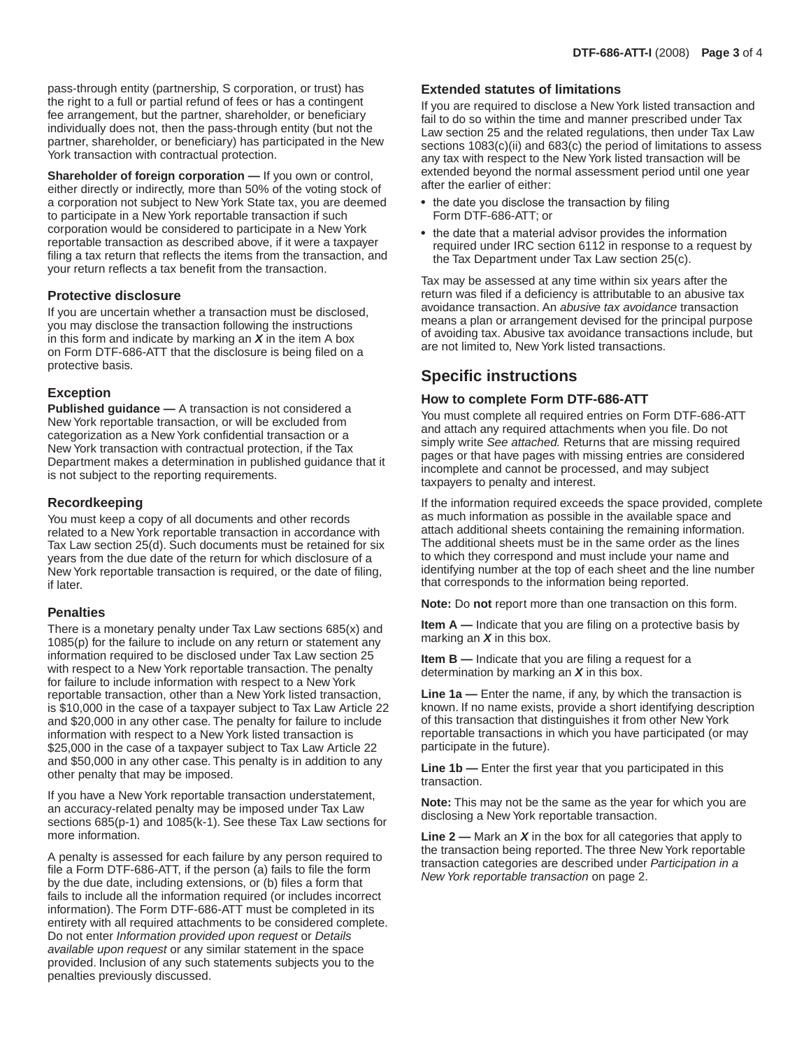pass-through entity (partnership, S corporation, or trust) has the right to a full or partial refund of fees or has a contingent fee arrangement, but the partner, shareholder, or beneficiary individually does not, then the pass-through entity (but not the partner, shareholder, or beneficiary) has participated in the New York transaction with contractual protection.

**Shareholder of foreign corporation - If you own or control,** either directly or indirectly, more than 50% of the voting stock of a corporation not subject to New York State tax, you are deemed to participate in a New York reportable transaction if such corporation would be considered to participate in a New York reportable transaction as described above, if it were a taxpayer filing a tax return that reflects the items from the transaction, and your return reflects a tax benefit from the transaction.

#### **Protective disclosure**

If you are uncertain whether a transaction must be disclosed, you may disclose the transaction following the instructions in this form and indicate by marking an *X* in the item A box on Form DTF-686-ATT that the disclosure is being filed on a protective basis.

#### **Exception**

**Published guidance —** A transaction is not considered a New York reportable transaction, or will be excluded from categorization as a New York confidential transaction or a New York transaction with contractual protection, if the Tax Department makes a determination in published guidance that it is not subject to the reporting requirements.

#### **Recordkeeping**

You must keep a copy of all documents and other records related to a New York reportable transaction in accordance with Tax Law section 25(d). Such documents must be retained for six years from the due date of the return for which disclosure of a New York reportable transaction is required, or the date of filing, if later.

#### **Penalties**

There is a monetary penalty under Tax Law sections 685(x) and 1085(p) for the failure to include on any return or statement any information required to be disclosed under Tax Law section 25 with respect to a New York reportable transaction. The penalty for failure to include information with respect to a New York reportable transaction, other than a New York listed transaction, is \$10,000 in the case of a taxpayer subject to Tax Law Article 22 and \$20,000 in any other case. The penalty for failure to include information with respect to a New York listed transaction is \$25,000 in the case of a taxpayer subject to Tax Law Article 22 and \$50,000 in any other case. This penalty is in addition to any other penalty that may be imposed.

If you have a New York reportable transaction understatement, an accuracy-related penalty may be imposed under Tax Law sections 685(p-1) and 1085(k-1). See these Tax Law sections for more information.

A penalty is assessed for each failure by any person required to file a Form DTF-686-ATT, if the person (a) fails to file the form by the due date, including extensions, or (b) files a form that fails to include all the information required (or includes incorrect information). The Form DTF-686-ATT must be completed in its entirety with all required attachments to be considered complete. Do not enter *Information provided upon request* or *Details available upon request* or any similar statement in the space provided. Inclusion of any such statements subjects you to the penalties previously discussed.

#### **Extended statutes of limitations**

If you are required to disclose a New York listed transaction and fail to do so within the time and manner prescribed under Tax Law section 25 and the related regulations, then under Tax Law sections 1083(c)(ii) and 683(c) the period of limitations to assess any tax with respect to the New York listed transaction will be extended beyond the normal assessment period until one year after the earlier of either:

- the date you disclose the transaction by filing Form DTF-686-ATT; or
- the date that a material advisor provides the information required under IRC section 6112 in response to a request by the Tax Department under Tax Law section 25(c).

Tax may be assessed at any time within six years after the return was filed if a deficiency is attributable to an abusive tax avoidance transaction. An *abusive tax avoidance* transaction means a plan or arrangement devised for the principal purpose of avoiding tax. Abusive tax avoidance transactions include, but are not limited to, New York listed transactions.

# **Specific instructions**

#### **How to complete Form DTF-686-ATT**

You must complete all required entries on Form DTF-686-ATT and attach any required attachments when you file. Do not simply write *See attached.* Returns that are missing required pages or that have pages with missing entries are considered incomplete and cannot be processed, and may subject taxpayers to penalty and interest.

If the information required exceeds the space provided, complete as much information as possible in the available space and attach additional sheets containing the remaining information. The additional sheets must be in the same order as the lines to which they correspond and must include your name and identifying number at the top of each sheet and the line number that corresponds to the information being reported.

**Note:** Do **not** report more than one transaction on this form.

**Item A —** Indicate that you are filing on a protective basis by marking an *X* in this box.

**Item B —** Indicate that you are filing a request for a determination by marking an *X* in this box.

**Line 1a —** Enter the name, if any, by which the transaction is known. If no name exists, provide a short identifying description of this transaction that distinguishes it from other New York reportable transactions in which you have participated (or may participate in the future).

**Line 1b —** Enter the first year that you participated in this transaction.

**Note:** This may not be the same as the year for which you are disclosing a New York reportable transaction.

**Line 2 —** Mark an *X* in the box for all categories that apply to the transaction being reported. The three New York reportable transaction categories are described under *Participation in a New York reportable transaction* on page 2.